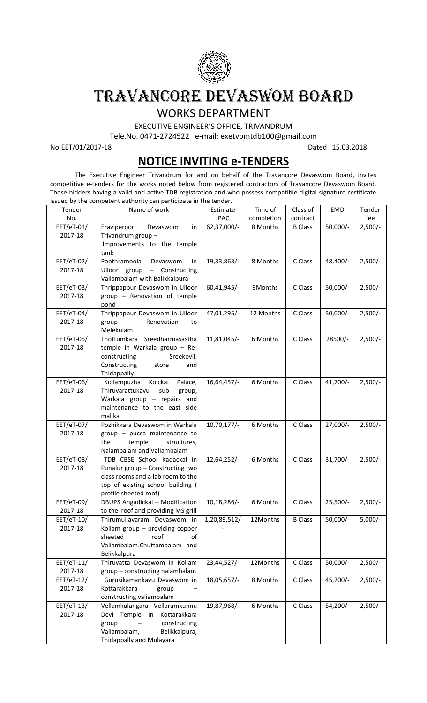

## TRAVANCORE DEVASWOM BOARD

WORKS DEPARTMENT

EXECUTIVE ENGINEER'S OFFICE, TRIVANDRUM

Tele.No. 0471-2724522 e-mail: exetvpmtdb100@gmail.com

No.EET/01/2017-18 Dated 15.03.2018

## **NOTICE INVITING e-TENDERS**

The Executive Engineer Trivandrum for and on behalf of the Travancore Devaswom Board, invites competitive e-tenders for the works noted below from registered contractors of Travancore Devaswom Board. Those bidders having a valid and active TDB registration and who possess compatible digital signature certificate issued by the competent authority can participate in the tender.

| Tender                  | Name of work                                                                                                                                                       | Estimate       | Time of    | Class of       | <b>EMD</b> | Tender    |
|-------------------------|--------------------------------------------------------------------------------------------------------------------------------------------------------------------|----------------|------------|----------------|------------|-----------|
| No.                     |                                                                                                                                                                    | PAC            | completion | contract       |            | fee       |
| EET/eT-01/<br>2017-18   | Eraviperoor<br>Devaswom<br>in<br>Trivandrum group -<br>Improvements to the temple<br>tank                                                                          | 62,37,000/-    | 8 Months   | <b>B</b> Class | $50,000/-$ | $2,500/-$ |
| EET/eT-02/<br>2017-18   | Poothramoola<br>Devaswom<br>in<br>Ulloor group - Constructing<br>Valiambalam with Balikkalpura                                                                     | 19,33,863/-    | 8 Months   | C Class        | 48,400/-   | $2,500/-$ |
| EET/eT-03/<br>2017-18   | Thrippappur Devaswom in Ulloor<br>group - Renovation of temple<br>pond                                                                                             | 60,41,945/-    | 9Months    | C Class        | 50,000/-   | $2,500/-$ |
| EET/eT-04/<br>2017-18   | Thrippappur Devaswom in Ulloor<br>Renovation<br>group<br>$\overline{\phantom{m}}$<br>to<br>Melekulam                                                               | 47,01,295/-    | 12 Months  | C Class        | $50,000/-$ | $2,500/-$ |
| EET/eT-05/<br>2017-18   | Thottumkara Sreedharmasastha<br>temple in Warkala group - Re-<br>constructing<br>Sreekovil,<br>Constructing<br>store<br>and<br>Thidappally                         | 11,81,045/-    | 6 Months   | C Class        | 28500/-    | $2,500/-$ |
| EET/eT-06/<br>2017-18   | Koickal<br>Kollampuzha<br>Palace,<br>Thiruvarattukavu<br>sub<br>group,<br>Warkala group - repairs and<br>maintenance to the east side<br>malika                    | 16,64,457/-    | 6 Months   | C Class        | 41,700/-   | $2,500/-$ |
| EET/eT-07/<br>2017-18   | Pozhikkara Devaswom in Warkala<br>group - pucca maintenance to<br>the<br>temple<br>structures,<br>Nalambalam and Valiambalam                                       | $10,70,177/$ - | 6 Months   | C Class        | $27,000/-$ | $2,500/-$ |
| EET/eT-08/<br>2017-18   | TDB CBSE School Kadackal in<br>Punalur group - Constructing two<br>class rooms and a lab room to the<br>top of existing school building (<br>profile sheeted roof) | 12,64,252/-    | 6 Months   | C Class        | $31,700/-$ | $2,500/-$ |
| EET/eT-09/<br>2017-18   | <b>DBUPS Angadickal - Modification</b><br>to the roof and providing MS grill                                                                                       | 10,18,286/-    | 6 Months   | C Class        | $25,500/-$ | $2,500/-$ |
| EET/eT-10/<br>2017-18   | Thirumullavaram Devaswom in<br>Kollam group - providing copper<br>sheeted<br>roof<br>of<br>Valiambalam.Chuttambalam and<br>Belikkalpura                            | 1,20,89,512/   | 12Months   | <b>B Class</b> | 50,000/-   | $5,000/-$ |
| $EET/eT-11/$<br>2017-18 | Thiruvatta Devaswom in Kollam<br>group - constructing nalambalam                                                                                                   | 23,44,527/-    | 12Months   | C Class        | $50,000/-$ | $2,500/-$ |
| $EET/eT-12/$<br>2017-18 | Gurusikamankavu Devaswom in<br>Kottarakkara<br>group<br>constructing valiambalam                                                                                   | 18,05,657/-    | 8 Months   | C Class        | 45,200/-   | $2,500/-$ |
| $EET/eT-13/$<br>2017-18 | Vellamkulangara Vellaramkunnu<br>Devi Temple in Kottarakkara<br>constructing<br>group<br>Valiambalam,<br>Belikkalpura,<br>Thidappally and Mulayara                 | 19,87,968/-    | 6 Months   | C Class        | 54,200/-   | $2,500/-$ |